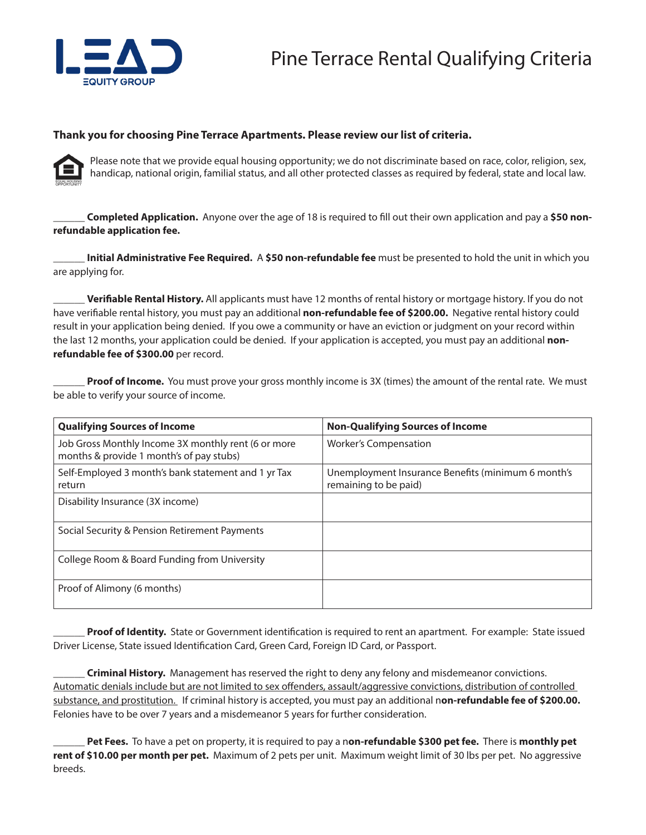

## **Thank you for choosing Pine Terrace Apartments. Please review our list of criteria.**



Please note that we provide equal housing opportunity; we do not discriminate based on race, color, religion, sex, handicap, national origin, familial status, and all other protected classes as required by federal, state and local law.

**Completed Application.** Anyone over the age of 18 is required to fill out their own application and pay a \$50 non**refundable application fee.** 

\_\_\_\_\_\_ **Initial Administrative Fee Required.** A **\$50 non-refundable fee** must be presented to hold the unit in which you are applying for.

\_\_\_\_\_\_ **Verifiable Rental History.** All applicants must have 12 months of rental history or mortgage history. If you do not have verifiable rental history, you must pay an additional **non-refundable fee of \$200.00.** Negative rental history could result in your application being denied. If you owe a community or have an eviction or judgment on your record within the last 12 months, your application could be denied. If your application is accepted, you must pay an additional **nonrefundable fee of \$300.00** per record.

Proof of Income. You must prove your gross monthly income is 3X (times) the amount of the rental rate. We must be able to verify your source of income.

| <b>Qualifying Sources of Income</b>                                                             | <b>Non-Qualifying Sources of Income</b>                                     |
|-------------------------------------------------------------------------------------------------|-----------------------------------------------------------------------------|
| Job Gross Monthly Income 3X monthly rent (6 or more<br>months & provide 1 month's of pay stubs) | <b>Worker's Compensation</b>                                                |
| Self-Employed 3 month's bank statement and 1 yr Tax<br>return                                   | Unemployment Insurance Benefits (minimum 6 month's<br>remaining to be paid) |
| Disability Insurance (3X income)                                                                |                                                                             |
| Social Security & Pension Retirement Payments                                                   |                                                                             |
| College Room & Board Funding from University                                                    |                                                                             |
| Proof of Alimony (6 months)                                                                     |                                                                             |

Proof of Identity. State or Government identification is required to rent an apartment. For example: State issued Driver License, State issued Identification Card, Green Card, Foreign ID Card, or Passport.

\_\_\_\_\_\_ **Criminal History.** Management has reserved the right to deny any felony and misdemeanor convictions. Automatic denials include but are not limited to sex offenders, assault/aggressive convictions, distribution of controlled substance, and prostitution. If criminal history is accepted, you must pay an additional n**on-refundable fee of \$200.00.**  Felonies have to be over 7 years and a misdemeanor 5 years for further consideration.

\_\_\_\_\_\_ **Pet Fees.** To have a pet on property, it is required to pay a n**on-refundable \$300 pet fee.** There is **monthly pet rent of \$10.00 per month per pet.** Maximum of 2 pets per unit. Maximum weight limit of 30 lbs per pet. No aggressive breeds.